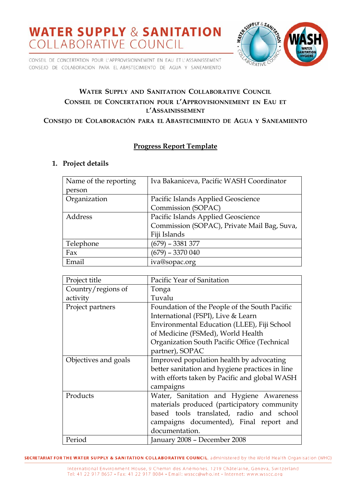CONSEIL DE CONCERTATION POUR L'APPROVISIONNEMENT EN EAU ET L'ASSAINISSEMENT CONSEJO DE COLABORACION PARA EL ABASTECIMIENTO DE AGUA Y SANEAMIENTO



## **WATER SUPPLY AND SANITATION COLLABORATIVE COUNCIL CONSEIL DE CONCERTATION POUR L'APPROVISIONNEMENT EN EAU ET L'ASSAINISSEMENT**

#### **CONSEJO DE COLABORACIÓN PARA EL ABASTECIMIENTO DE AGUA Y SANEAMIENTO**

## **Progress Report Template**

#### **1. Project details**

| Name of the reporting | Iva Bakaniceva, Pacific WASH Coordinator    |  |
|-----------------------|---------------------------------------------|--|
| person                |                                             |  |
| Organization          | Pacific Islands Applied Geoscience          |  |
|                       | Commission (SOPAC)                          |  |
| Address               | Pacific Islands Applied Geoscience          |  |
|                       | Commission (SOPAC), Private Mail Bag, Suva, |  |
|                       | Fiji Islands                                |  |
| Telephone             | (679) – 3381 377                            |  |
| Fax                   | $(679) - 3370040$                           |  |
| Email                 | iva@sopac.org                               |  |

| Project title        | Pacific Year of Sanitation                      |  |
|----------------------|-------------------------------------------------|--|
| Country/regions of   | Tonga                                           |  |
| activity             | Tuvalu                                          |  |
| Project partners     | Foundation of the People of the South Pacific   |  |
|                      | International (FSPI), Live & Learn              |  |
|                      | Environmental Education (LLEE), Fiji School     |  |
|                      | of Medicine (FSMed), World Health               |  |
|                      | Organization South Pacific Office (Technical    |  |
|                      | partner), SOPAC                                 |  |
| Objectives and goals | Improved population health by advocating        |  |
|                      | better sanitation and hygiene practices in line |  |
|                      | with efforts taken by Pacific and global WASH   |  |
|                      | campaigns                                       |  |
| Products             | Water, Sanitation and Hygiene Awareness         |  |
|                      | materials produced (participatory community     |  |
|                      | based tools translated, radio and school        |  |
|                      | campaigns documented), Final report and         |  |
|                      | documentation.                                  |  |
| Period               | January 2008 - December 2008                    |  |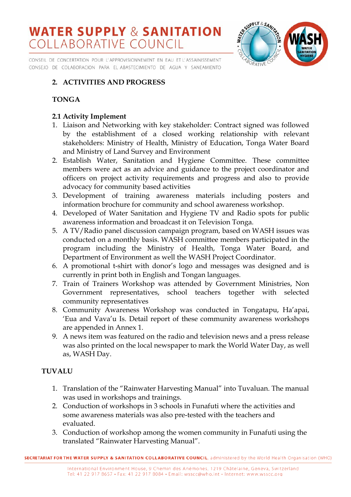CONSEIL DE CONCERTATION POUR L'APPROVISIONNEMENT EN EAU ET L'ASSAINISSEMENT CONSEJO DE COLABORACION PARA EL ABASTECIMIENTO DE AGUA Y SANEAMIENTO



## **2. ACTIVITIES AND PROGRESS**

## **TONGA**

## **2.1 Activity Implement**

- 1. Liaison and Networking with key stakeholder: Contract signed was followed by the establishment of a closed working relationship with relevant stakeholders: Ministry of Health, Ministry of Education, Tonga Water Board and Ministry of Land Survey and Environment
- 2. Establish Water, Sanitation and Hygiene Committee. These committee members were act as an advice and guidance to the project coordinator and officers on project activity requirements and progress and also to provide advocacy for community based activities
- 3. Development of training awareness materials including posters and information brochure for community and school awareness workshop.
- 4. Developed of Water Sanitation and Hygiene TV and Radio spots for public awareness information and broadcast it on Television Tonga.
- 5. A TV/Radio panel discussion campaign program, based on WASH issues was conducted on a monthly basis. WASH committee members participated in the program including the Ministry of Health, Tonga Water Board, and Department of Environment as well the WASH Project Coordinator.
- 6. A promotional t-shirt with donor's logo and messages was designed and is currently in print both in English and Tongan languages.
- 7. Train of Trainers Workshop was attended by Government Ministries, Non Government representatives, school teachers together with selected community representatives
- 8. Community Awareness Workshop was conducted in Tongatapu, Ha'apai, 'Eua and Vava'u Is. Detail report of these community awareness workshops are appended in Annex 1.
- 9. A news item was featured on the radio and television news and a press release was also printed on the local newspaper to mark the World Water Day, as well as, WASH Day.

## **TUVALU**

- 1. Translation of the "Rainwater Harvesting Manual" into Tuvaluan. The manual was used in workshops and trainings.
- 2. Conduction of workshops in 3 schools in Funafuti where the activities and some awareness materials was also pre-tested with the teachers and evaluated.
- 3. Conduction of workshop among the women community in Funafuti using the translated "Rainwater Harvesting Manual".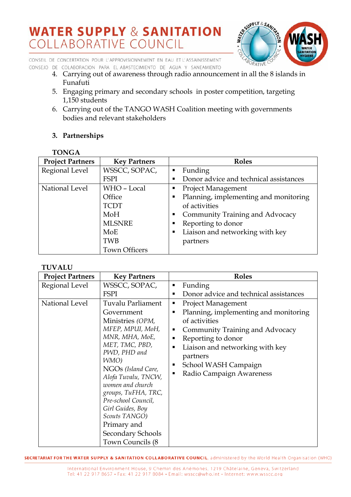

CONSEIL DE CONCERTATION POUR L'APPROVISIONNEMENT EN EAU ET L'ASSAINISSEMENT CONSEJO DE COLABORACION PARA EL ABASTECIMIENTO DE AGUA Y SANEAMIENTO

- 4. Carrying out of awareness through radio announcement in all the 8 islands in Funafuti
- 5. Engaging primary and secondary schools in poster competition, targeting 1,150 students
- 6. Carrying out of the TANGO WASH Coalition meeting with governments bodies and relevant stakeholders

## **3. Partnerships**

| <b>TONGA</b>            |                      |                                             |
|-------------------------|----------------------|---------------------------------------------|
| <b>Project Partners</b> | <b>Key Partners</b>  | <b>Roles</b>                                |
| Regional Level          | WSSCC, SOPAC,        | Funding<br>п                                |
|                         | <b>FSPI</b>          | Donor advice and technical assistances<br>п |
| National Level          | WHO - Local          | <b>Project Management</b><br>п              |
|                         | Office               | Planning, implementing and monitoring<br>п  |
|                         | <b>TCDT</b>          | of activities                               |
|                         | MoH                  | Community Training and Advocacy<br>ш        |
|                         | <b>MLSNRE</b>        | Reporting to donor<br>п                     |
|                         | MoE                  | Liaison and networking with key<br>п        |
|                         | <b>TWB</b>           | partners                                    |
|                         | <b>Town Officers</b> |                                             |

### **TUVALU**

| <b>Project Partners</b>          | <b>Key Partners</b>                                                                                                                                                                                                                                 | <b>Roles</b>                                                                                                                                                                                                                    |
|----------------------------------|-----------------------------------------------------------------------------------------------------------------------------------------------------------------------------------------------------------------------------------------------------|---------------------------------------------------------------------------------------------------------------------------------------------------------------------------------------------------------------------------------|
| Regional Level<br>National Level | WSSCC, SOPAC,<br><b>FSPI</b><br>Tuvalu Parliament<br>Government<br>Ministries (OPM,<br>MFEP, MPUI, MoH,<br>MNR, MHA, MoE,                                                                                                                           | Funding<br>ш<br>Donor advice and technical assistances<br>٠<br><b>Project Management</b><br>п<br>Planning, implementing and monitoring<br>ш<br>of activities<br>Community Training and Advocacy<br>٠<br>Reporting to donor<br>٠ |
|                                  | MET, TMC, PBD,<br>PWD, PHD and<br>WMO)<br>NGOs (Island Care,<br>Alofa Tuvalu, TNCW,<br>women and church<br>groups, TuFHA, TRC,<br>Pre-school Council,<br>Girl Guides, Boy<br>Scouts TANGO)<br>Primary and<br>Secondary Schools<br>Town Councils (8) | Liaison and networking with key<br>٠<br>partners<br>School WASH Campaign<br>ш<br>Radio Campaign Awareness                                                                                                                       |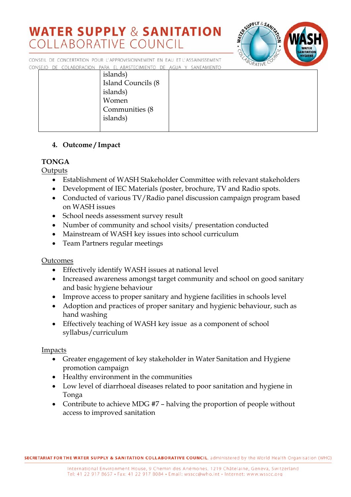

CONSEIL DE CONCERTATION POUR L'APPROVISIONNEMENT EN EAU ET L'ASSAINISSEMENT CONSEJO DE COLABORACION PARA EL ABASTECIMIENTO DE AGUA Y SANEAMIENTO

| islands)                   |  |
|----------------------------|--|
| <b>Island Councils (8)</b> |  |
| islands)                   |  |
| Women                      |  |
| Communities (8)            |  |
| islands)                   |  |
|                            |  |
|                            |  |

## **4. Outcome / Impact**

## **TONGA**

**Outputs** 

- Establishment of WASH Stakeholder Committee with relevant stakeholders
- Development of IEC Materials (poster, brochure, TV and Radio spots.
- Conducted of various TV/Radio panel discussion campaign program based on WASH issues
- School needs assessment survey result
- Number of community and school visits/ presentation conducted
- Mainstream of WASH key issues into school curriculum
- Team Partners regular meetings

### Outcomes

- Effectively identify WASH issues at national level
- Increased awareness amongst target community and school on good sanitary and basic hygiene behaviour
- Improve access to proper sanitary and hygiene facilities in schools level
- Adoption and practices of proper sanitary and hygienic behaviour, such as hand washing
- Effectively teaching of WASH key issue as a component of school syllabus/curriculum

Impacts

- Greater engagement of key stakeholder in Water Sanitation and Hygiene promotion campaign
- Healthy environment in the communities
- Low level of diarrhoeal diseases related to poor sanitation and hygiene in Tonga
- Contribute to achieve MDG #7 halving the proportion of people without access to improved sanitation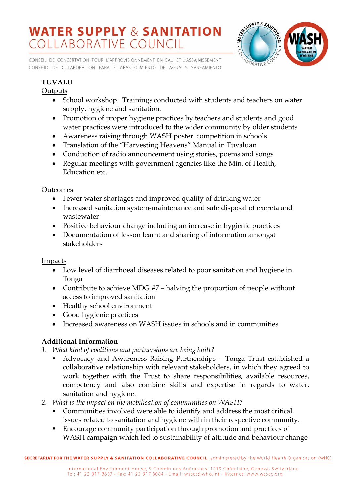CONSEIL DE CONCERTATION POUR L'APPROVISIONNEMENT EN EAU ET L'ASSAINISSEMENT CONSEJO DE COLABORACION PARA EL ABASTECIMIENTO DE AGUA Y SANEAMIENTO



## **TUVALU**

## **Outputs**

- School workshop. Trainings conducted with students and teachers on water supply, hygiene and sanitation.
- Promotion of proper hygiene practices by teachers and students and good water practices were introduced to the wider community by older students
- Awareness raising through WASH poster competition in schools
- Translation of the "Harvesting Heavens" Manual in Tuvaluan
- Conduction of radio announcement using stories, poems and songs
- Regular meetings with government agencies like the Min. of Health, Education etc.

### Outcomes

- Fewer water shortages and improved quality of drinking water
- Increased sanitation system-maintenance and safe disposal of excreta and wastewater
- Positive behaviour change including an increase in hygienic practices
- Documentation of lesson learnt and sharing of information amongst stakeholders

### Impacts

- Low level of diarrhoeal diseases related to poor sanitation and hygiene in Tonga
- Contribute to achieve MDG #7 halving the proportion of people without access to improved sanitation
- Healthy school environment
- Good hygienic practices
- Increased awareness on WASH issues in schools and in communities

## **Additional Information**

- *1. What kind of coalitions and partnerships are being built?* 
	- Advocacy and Awareness Raising Partnerships Tonga Trust established a collaborative relationship with relevant stakeholders, in which they agreed to work together with the Trust to share responsibilities, available resources, competency and also combine skills and expertise in regards to water, sanitation and hygiene.
- *2. What is the impact on the mobilisation of communities on WASH?* 
	- Communities involved were able to identify and address the most critical issues related to sanitation and hygiene with in their respective community.
	- Encourage community participation through promotion and practices of WASH campaign which led to sustainability of attitude and behaviour change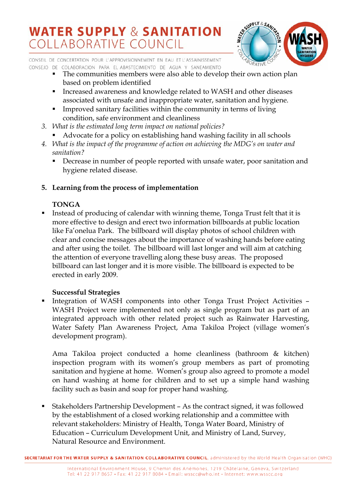

CONSEIL DE CONCERTATION POUR L'APPROVISIONNEMENT EN EAU ET L'ASSAINISSEMENT CONSEJO DE COLABORACION PARA EL ABASTECIMIENTO DE AGUA Y SANEAMIENTO

- The communities members were also able to develop their own action plan based on problem identified
- Increased awareness and knowledge related to WASH and other diseases associated with unsafe and inappropriate water, sanitation and hygiene.
- Improved sanitary facilities within the community in terms of living condition, safe environment and cleanliness
- *3. What is the estimated long term impact on national policies?* 
	- Advocate for a policy on establishing hand washing facility in all schools
- *4. What is the impact of the programme of action on achieving the MDG's on water and sanitation?* 
	- Decrease in number of people reported with unsafe water, poor sanitation and hygiene related disease.

## **5. Learning from the process of implementation**

## **TONGA**

 Instead of producing of calendar with winning theme, Tonga Trust felt that it is more effective to design and erect two information billboards at public location like Fa'onelua Park. The billboard will display photos of school children with clear and concise messages about the importance of washing hands before eating and after using the toilet. The billboard will last longer and will aim at catching the attention of everyone travelling along these busy areas. The proposed billboard can last longer and it is more visible. The billboard is expected to be erected in early 2009.

## **Successful Strategies**

 Integration of WASH components into other Tonga Trust Project Activities – WASH Project were implemented not only as single program but as part of an integrated approach with other related project such as Rainwater Harvesting, Water Safety Plan Awareness Project, Ama Takiloa Project (village women's development program).

Ama Takiloa project conducted a home cleanliness (bathroom & kitchen) inspection program with its women's group members as part of promoting sanitation and hygiene at home. Women's group also agreed to promote a model on hand washing at home for children and to set up a simple hand washing facility such as basin and soap for proper hand washing.

 Stakeholders Partnership Development – As the contract signed, it was followed by the establishment of a closed working relationship and a committee with relevant stakeholders: Ministry of Health, Tonga Water Board, Ministry of Education – Curriculum Development Unit, and Ministry of Land, Survey, Natural Resource and Environment.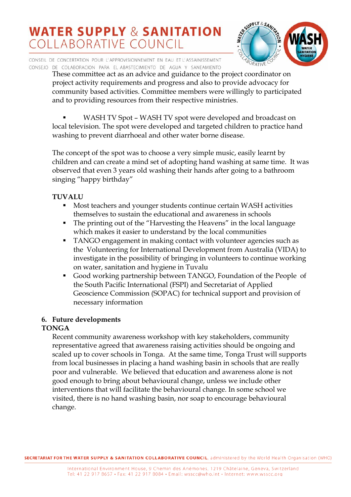

CONSEIL DE CONCERTATION POUR L'APPROVISIONNEMENT EN EAU ET L'ASSAINISSEMENT CONSEJO DE COLABORACION PARA EL ABASTECIMIENTO DE AGUA Y SANEAMIENTO

These committee act as an advice and guidance to the project coordinator on project activity requirements and progress and also to provide advocacy for community based activities. Committee members were willingly to participated and to providing resources from their respective ministries.

 WASH TV Spot – WASH TV spot were developed and broadcast on local television. The spot were developed and targeted children to practice hand washing to prevent diarrhoeal and other water borne disease.

The concept of the spot was to choose a very simple music, easily learnt by children and can create a mind set of adopting hand washing at same time. It was observed that even 3 years old washing their hands after going to a bathroom singing "happy birthday"

## **TUVALU**

- **Most teachers and younger students continue certain WASH activities** themselves to sustain the educational and awareness in schools
- The printing out of the "Harvesting the Heavens" in the local language which makes it easier to understand by the local communities
- TANGO engagement in making contact with volunteer agencies such as the Volunteering for International Development from Australia (VIDA) to investigate in the possibility of bringing in volunteers to continue working on water, sanitation and hygiene in Tuvalu
- Good working partnership between TANGO, Foundation of the People of the South Pacific International (FSPI) and Secretariat of Applied Geoscience Commission (SOPAC) for technical support and provision of necessary information

### **6. Future developments**

### **TONGA**

Recent community awareness workshop with key stakeholders, community representative agreed that awareness raising activities should be ongoing and scaled up to cover schools in Tonga. At the same time, Tonga Trust will supports from local businesses in placing a hand washing basin in schools that are really poor and vulnerable. We believed that education and awareness alone is not good enough to bring about behavioural change, unless we include other interventions that will facilitate the behavioural change. In some school we visited, there is no hand washing basin, nor soap to encourage behavioural change.